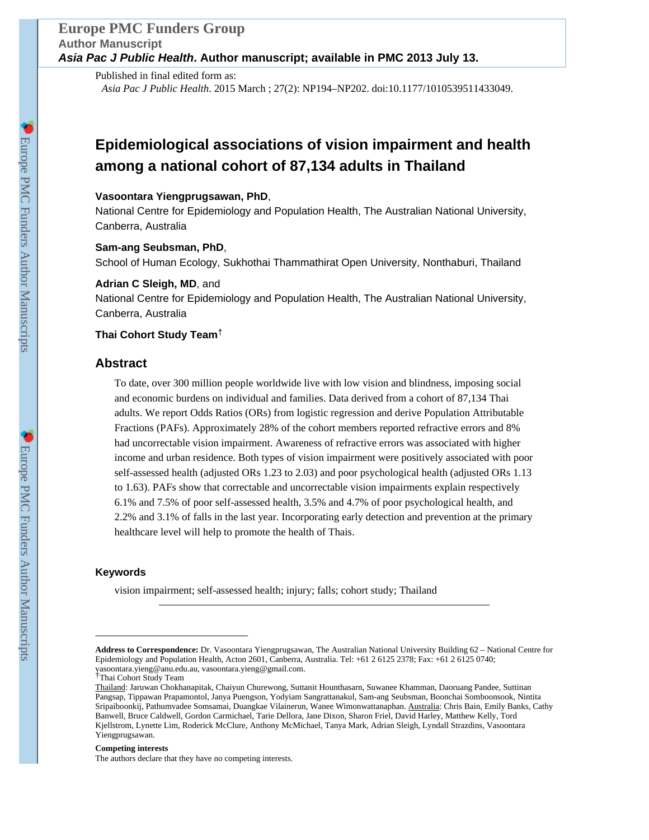## **Europe PMC Funders Group Author Manuscript Asia Pac J Public Health. Author manuscript; available in PMC 2013 July 13.**

Published in final edited form as: *Asia Pac J Public Health*. 2015 March ; 27(2): NP194–NP202. doi:10.1177/1010539511433049.

# **Epidemiological associations of vision impairment and health among a national cohort of 87,134 adults in Thailand**

#### **Vasoontara Yiengprugsawan, PhD**,

National Centre for Epidemiology and Population Health, The Australian National University, Canberra, Australia

#### **Sam-ang Seubsman, PhD**,

School of Human Ecology, Sukhothai Thammathirat Open University, Nonthaburi, Thailand

#### **Adrian C Sleigh, MD**, and

National Centre for Epidemiology and Population Health, The Australian National University, Canberra, Australia

#### **Thai Cohort Study Team**†

#### **Abstract**

To date, over 300 million people worldwide live with low vision and blindness, imposing social and economic burdens on individual and families. Data derived from a cohort of 87,134 Thai adults. We report Odds Ratios (ORs) from logistic regression and derive Population Attributable Fractions (PAFs). Approximately 28% of the cohort members reported refractive errors and 8% had uncorrectable vision impairment. Awareness of refractive errors was associated with higher income and urban residence. Both types of vision impairment were positively associated with poor self-assessed health (adjusted ORs 1.23 to 2.03) and poor psychological health (adjusted ORs 1.13 to 1.63). PAFs show that correctable and uncorrectable vision impairments explain respectively 6.1% and 7.5% of poor self-assessed health, 3.5% and 4.7% of poor psychological health, and 2.2% and 3.1% of falls in the last year. Incorporating early detection and prevention at the primary healthcare level will help to promote the health of Thais.

#### **Keywords**

vision impairment; self-assessed health; injury; falls; cohort study; Thailand

#### **Competing interests**

The authors declare that they have no competing interests.

**Address to Correspondence:** Dr. Vasoontara Yiengprugsawan, The Australian National University Building 62 – National Centre for Epidemiology and Population Health, Acton 2601, Canberra, Australia. Tel: +61 2 6125 2378; Fax: +61 2 6125 0740; vasoontara.yieng@anu.edu.au, vasoontara.yieng@gmail.com. †Thai Cohort Study Team

Thailand: Jaruwan Chokhanapitak, Chaiyun Churewong, Suttanit Hounthasarn, Suwanee Khamman, Daoruang Pandee, Suttinan Pangsap, Tippawan Prapamontol, Janya Puengson, Yodyiam Sangrattanakul, Sam-ang Seubsman, Boonchai Somboonsook, Nintita Sripaiboonkij, Pathumvadee Somsamai, Duangkae Vilainerun, Wanee Wimonwattanaphan. Australia: Chris Bain, Emily Banks, Cathy Banwell, Bruce Caldwell, Gordon Carmichael, Tarie Dellora, Jane Dixon, Sharon Friel, David Harley, Matthew Kelly, Tord Kjellstrom, Lynette Lim, Roderick McClure, Anthony McMichael, Tanya Mark, Adrian Sleigh, Lyndall Strazdins, Vasoontara Yiengprugsawan.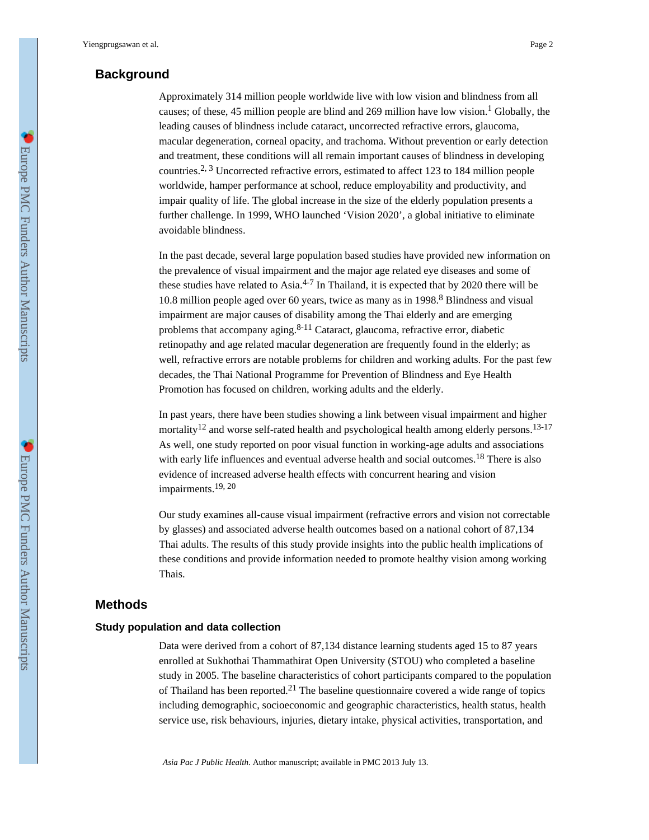# **Background**

Approximately 314 million people worldwide live with low vision and blindness from all causes; of these, 45 million people are blind and 269 million have low vision.<sup>1</sup> Globally, the leading causes of blindness include cataract, uncorrected refractive errors, glaucoma, macular degeneration, corneal opacity, and trachoma. Without prevention or early detection and treatment, these conditions will all remain important causes of blindness in developing countries.<sup>2, 3</sup> Uncorrected refractive errors, estimated to affect 123 to 184 million people worldwide, hamper performance at school, reduce employability and productivity, and impair quality of life. The global increase in the size of the elderly population presents a further challenge. In 1999, WHO launched 'Vision 2020', a global initiative to eliminate avoidable blindness.

In the past decade, several large population based studies have provided new information on the prevalence of visual impairment and the major age related eye diseases and some of these studies have related to Asia.<sup>4-7</sup> In Thailand, it is expected that by 2020 there will be 10.8 million people aged over 60 years, twice as many as in  $1998.8$  Blindness and visual impairment are major causes of disability among the Thai elderly and are emerging problems that accompany aging. $8-11$  Cataract, glaucoma, refractive error, diabetic retinopathy and age related macular degeneration are frequently found in the elderly; as well, refractive errors are notable problems for children and working adults. For the past few decades, the Thai National Programme for Prevention of Blindness and Eye Health Promotion has focused on children, working adults and the elderly.

In past years, there have been studies showing a link between visual impairment and higher mortality<sup>12</sup> and worse self-rated health and psychological health among elderly persons.<sup>13-17</sup> As well, one study reported on poor visual function in working-age adults and associations with early life influences and eventual adverse health and social outcomes.18 There is also evidence of increased adverse health effects with concurrent hearing and vision impairments.<sup>19, 20</sup>

Our study examines all-cause visual impairment (refractive errors and vision not correctable by glasses) and associated adverse health outcomes based on a national cohort of 87,134 Thai adults. The results of this study provide insights into the public health implications of these conditions and provide information needed to promote healthy vision among working Thais.

### **Methods**

#### **Study population and data collection**

Data were derived from a cohort of 87,134 distance learning students aged 15 to 87 years enrolled at Sukhothai Thammathirat Open University (STOU) who completed a baseline study in 2005. The baseline characteristics of cohort participants compared to the population of Thailand has been reported.<sup>21</sup> The baseline questionnaire covered a wide range of topics including demographic, socioeconomic and geographic characteristics, health status, health service use, risk behaviours, injuries, dietary intake, physical activities, transportation, and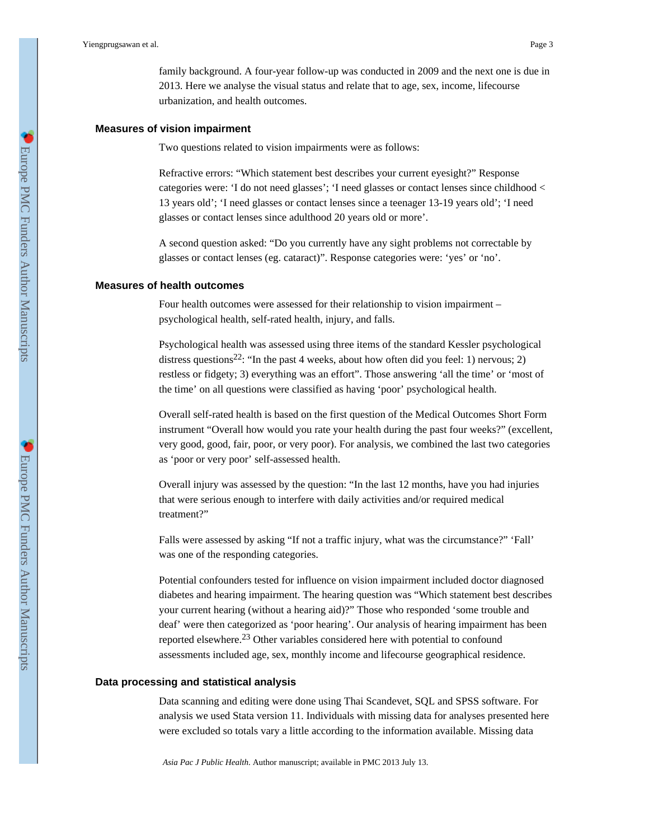family background. A four-year follow-up was conducted in 2009 and the next one is due in 2013. Here we analyse the visual status and relate that to age, sex, income, lifecourse urbanization, and health outcomes.

#### **Measures of vision impairment**

Two questions related to vision impairments were as follows:

Refractive errors: "Which statement best describes your current eyesight?" Response categories were: 'I do not need glasses'; 'I need glasses or contact lenses since childhood < 13 years old'; 'I need glasses or contact lenses since a teenager 13-19 years old'; 'I need glasses or contact lenses since adulthood 20 years old or more'.

A second question asked: "Do you currently have any sight problems not correctable by glasses or contact lenses (eg. cataract)". Response categories were: 'yes' or 'no'.

#### **Measures of health outcomes**

Four health outcomes were assessed for their relationship to vision impairment – psychological health, self-rated health, injury, and falls.

Psychological health was assessed using three items of the standard Kessler psychological distress questions<sup>22</sup>: "In the past 4 weeks, about how often did you feel: 1) nervous; 2) restless or fidgety; 3) everything was an effort". Those answering 'all the time' or 'most of the time' on all questions were classified as having 'poor' psychological health.

Overall self-rated health is based on the first question of the Medical Outcomes Short Form instrument "Overall how would you rate your health during the past four weeks?" (excellent, very good, good, fair, poor, or very poor). For analysis, we combined the last two categories as 'poor or very poor' self-assessed health.

Overall injury was assessed by the question: "In the last 12 months, have you had injuries that were serious enough to interfere with daily activities and/or required medical treatment?"

Falls were assessed by asking "If not a traffic injury, what was the circumstance?" 'Fall' was one of the responding categories.

Potential confounders tested for influence on vision impairment included doctor diagnosed diabetes and hearing impairment. The hearing question was "Which statement best describes your current hearing (without a hearing aid)?" Those who responded 'some trouble and deaf' were then categorized as 'poor hearing'. Our analysis of hearing impairment has been reported elsewhere.<sup>23</sup> Other variables considered here with potential to confound assessments included age, sex, monthly income and lifecourse geographical residence.

#### **Data processing and statistical analysis**

Data scanning and editing were done using Thai Scandevet, SQL and SPSS software. For analysis we used Stata version 11. Individuals with missing data for analyses presented here were excluded so totals vary a little according to the information available. Missing data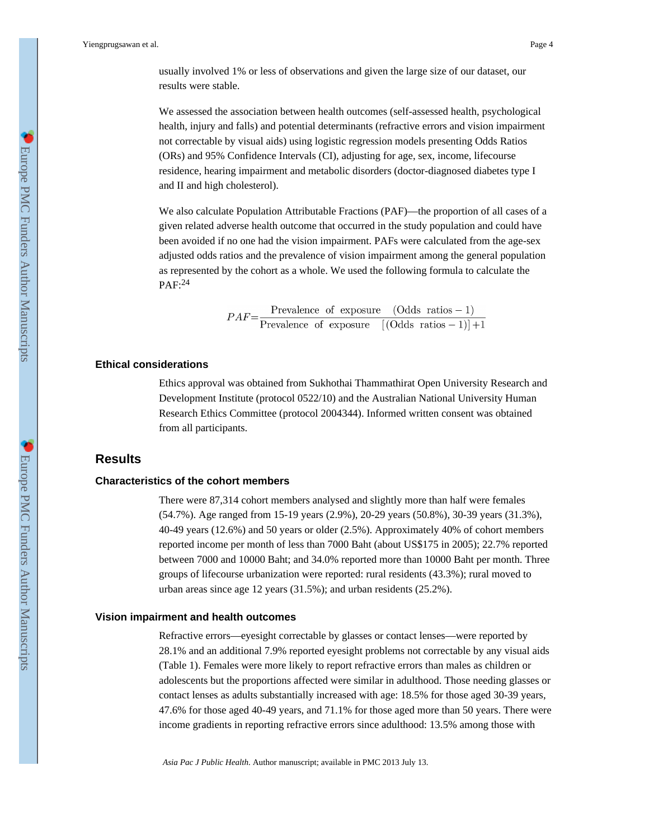Yiengprugsawan et al. Page 4

usually involved 1% or less of observations and given the large size of our dataset, our results were stable.

We assessed the association between health outcomes (self-assessed health, psychological health, injury and falls) and potential determinants (refractive errors and vision impairment not correctable by visual aids) using logistic regression models presenting Odds Ratios (ORs) and 95% Confidence Intervals (CI), adjusting for age, sex, income, lifecourse residence, hearing impairment and metabolic disorders (doctor-diagnosed diabetes type I and II and high cholesterol).

We also calculate Population Attributable Fractions (PAF)—the proportion of all cases of a given related adverse health outcome that occurred in the study population and could have been avoided if no one had the vision impairment. PAFs were calculated from the age-sex adjusted odds ratios and the prevalence of vision impairment among the general population as represented by the cohort as a whole. We used the following formula to calculate the PAF:<sup>24</sup>

$$
PAF = \frac{\text{Prevalence of exposure} \quad (\text{Odds ratios} - 1)}{\text{Prevalence of exposure} \quad [(\text{Odds ratios} - 1)] + 1}
$$

#### **Ethical considerations**

Ethics approval was obtained from Sukhothai Thammathirat Open University Research and Development Institute (protocol 0522/10) and the Australian National University Human Research Ethics Committee (protocol 2004344). Informed written consent was obtained from all participants.

### **Results**

#### **Characteristics of the cohort members**

There were 87,314 cohort members analysed and slightly more than half were females (54.7%). Age ranged from 15-19 years (2.9%), 20-29 years (50.8%), 30-39 years (31.3%), 40-49 years (12.6%) and 50 years or older (2.5%). Approximately 40% of cohort members reported income per month of less than 7000 Baht (about US\$175 in 2005); 22.7% reported between 7000 and 10000 Baht; and 34.0% reported more than 10000 Baht per month. Three groups of lifecourse urbanization were reported: rural residents (43.3%); rural moved to urban areas since age 12 years (31.5%); and urban residents (25.2%).

#### **Vision impairment and health outcomes**

Refractive errors—eyesight correctable by glasses or contact lenses—were reported by 28.1% and an additional 7.9% reported eyesight problems not correctable by any visual aids (Table 1). Females were more likely to report refractive errors than males as children or adolescents but the proportions affected were similar in adulthood. Those needing glasses or contact lenses as adults substantially increased with age: 18.5% for those aged 30-39 years, 47.6% for those aged 40-49 years, and 71.1% for those aged more than 50 years. There were income gradients in reporting refractive errors since adulthood: 13.5% among those with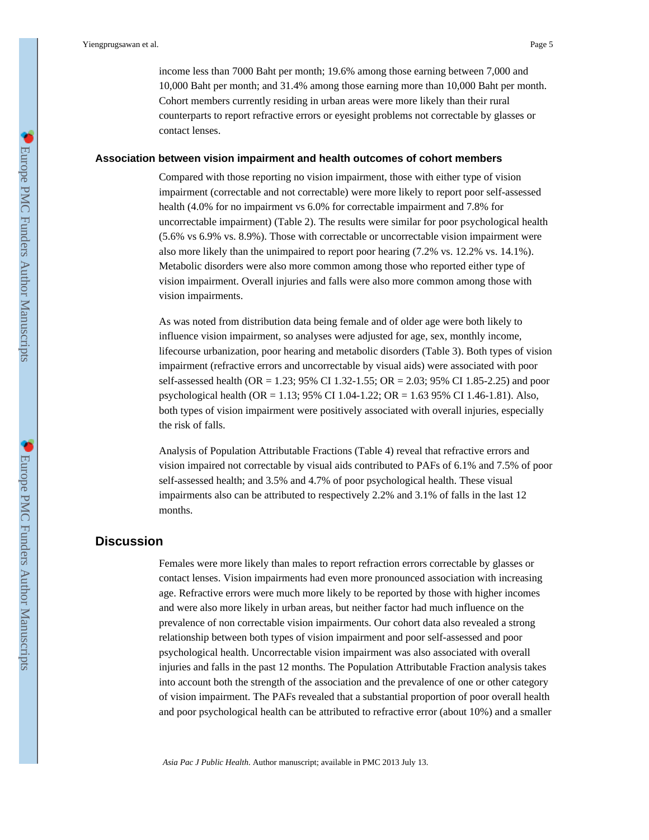income less than 7000 Baht per month; 19.6% among those earning between 7,000 and 10,000 Baht per month; and 31.4% among those earning more than 10,000 Baht per month. Cohort members currently residing in urban areas were more likely than their rural counterparts to report refractive errors or eyesight problems not correctable by glasses or contact lenses.

#### **Association between vision impairment and health outcomes of cohort members**

Compared with those reporting no vision impairment, those with either type of vision impairment (correctable and not correctable) were more likely to report poor self-assessed health (4.0% for no impairment vs 6.0% for correctable impairment and 7.8% for uncorrectable impairment) (Table 2). The results were similar for poor psychological health (5.6% vs 6.9% vs. 8.9%). Those with correctable or uncorrectable vision impairment were also more likely than the unimpaired to report poor hearing (7.2% vs. 12.2% vs. 14.1%). Metabolic disorders were also more common among those who reported either type of vision impairment. Overall injuries and falls were also more common among those with vision impairments.

As was noted from distribution data being female and of older age were both likely to influence vision impairment, so analyses were adjusted for age, sex, monthly income, lifecourse urbanization, poor hearing and metabolic disorders (Table 3). Both types of vision impairment (refractive errors and uncorrectable by visual aids) were associated with poor self-assessed health (OR = 1.23; 95% CI 1.32-1.55; OR = 2.03; 95% CI 1.85-2.25) and poor psychological health (OR = 1.13; 95% CI 1.04-1.22; OR = 1.63 95% CI 1.46-1.81). Also, both types of vision impairment were positively associated with overall injuries, especially the risk of falls.

Analysis of Population Attributable Fractions (Table 4) reveal that refractive errors and vision impaired not correctable by visual aids contributed to PAFs of 6.1% and 7.5% of poor self-assessed health; and 3.5% and 4.7% of poor psychological health. These visual impairments also can be attributed to respectively 2.2% and 3.1% of falls in the last 12 months.

### **Discussion**

Females were more likely than males to report refraction errors correctable by glasses or contact lenses. Vision impairments had even more pronounced association with increasing age. Refractive errors were much more likely to be reported by those with higher incomes and were also more likely in urban areas, but neither factor had much influence on the prevalence of non correctable vision impairments. Our cohort data also revealed a strong relationship between both types of vision impairment and poor self-assessed and poor psychological health. Uncorrectable vision impairment was also associated with overall injuries and falls in the past 12 months. The Population Attributable Fraction analysis takes into account both the strength of the association and the prevalence of one or other category of vision impairment. The PAFs revealed that a substantial proportion of poor overall health and poor psychological health can be attributed to refractive error (about 10%) and a smaller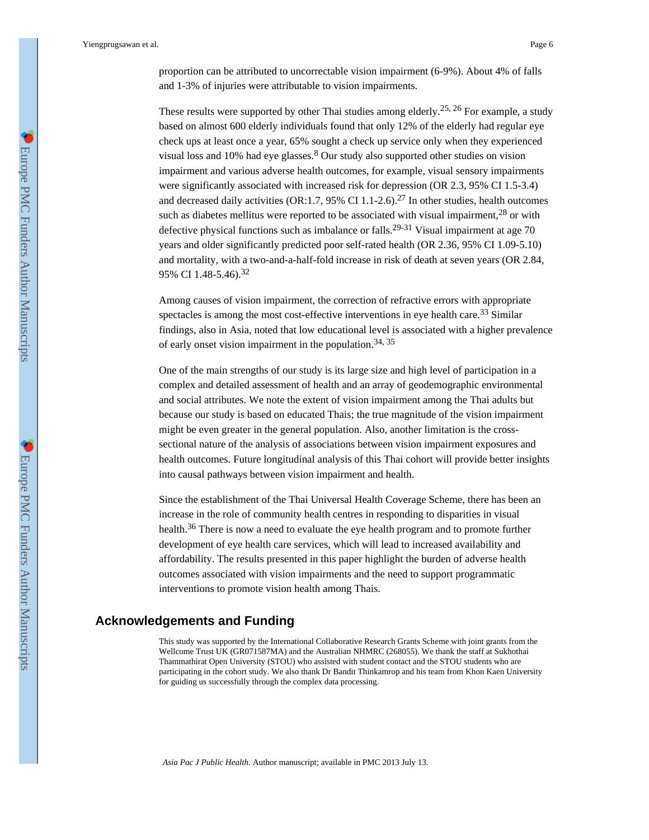These results were supported by other Thai studies among elderly.<sup>25, 26</sup> For example, a study based on almost 600 elderly individuals found that only 12% of the elderly had regular eye check ups at least once a year, 65% sought a check up service only when they experienced visual loss and 10% had eye glasses.<sup>8</sup> Our study also supported other studies on vision impairment and various adverse health outcomes, for example, visual sensory impairments were significantly associated with increased risk for depression (OR 2.3, 95% CI 1.5-3.4) and decreased daily activities (OR:1.7, 95% CI 1.1-2.6).<sup>27</sup> In other studies, health outcomes such as diabetes mellitus were reported to be associated with visual impairment,  $28$  or with defective physical functions such as imbalance or falls.<sup>29-31</sup> Visual impairment at age 70 years and older significantly predicted poor self-rated health (OR 2.36, 95% CI 1.09-5.10) and mortality, with a two-and-a-half-fold increase in risk of death at seven years (OR 2.84, 95% CI 1.48-5.46).<sup>32</sup>

Among causes of vision impairment, the correction of refractive errors with appropriate spectacles is among the most cost-effective interventions in eye health care.<sup>33</sup> Similar findings, also in Asia, noted that low educational level is associated with a higher prevalence of early onset vision impairment in the population.<sup>34, 35</sup>

One of the main strengths of our study is its large size and high level of participation in a complex and detailed assessment of health and an array of geodemographic environmental and social attributes. We note the extent of vision impairment among the Thai adults but because our study is based on educated Thais; the true magnitude of the vision impairment might be even greater in the general population. Also, another limitation is the crosssectional nature of the analysis of associations between vision impairment exposures and health outcomes. Future longitudinal analysis of this Thai cohort will provide better insights into causal pathways between vision impairment and health.

Since the establishment of the Thai Universal Health Coverage Scheme, there has been an increase in the role of community health centres in responding to disparities in visual health.<sup>36</sup> There is now a need to evaluate the eye health program and to promote further development of eye health care services, which will lead to increased availability and affordability. The results presented in this paper highlight the burden of adverse health outcomes associated with vision impairments and the need to support programmatic interventions to promote vision health among Thais.

# **Acknowledgements and Funding**

This study was supported by the International Collaborative Research Grants Scheme with joint grants from the Wellcome Trust UK (GR071587MA) and the Australian NHMRC (268055). We thank the staff at Sukhothai Thammathirat Open University (STOU) who assisted with student contact and the STOU students who are participating in the cohort study. We also thank Dr Bandit Thinkamrop and his team from Khon Kaen University for guiding us successfully through the complex data processing.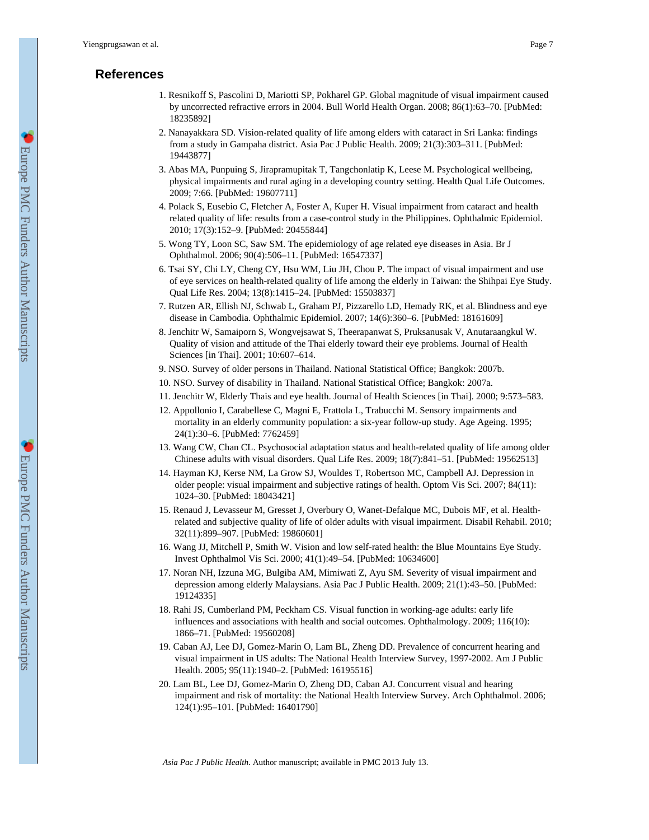# **References**

- 1. Resnikoff S, Pascolini D, Mariotti SP, Pokharel GP. Global magnitude of visual impairment caused by uncorrected refractive errors in 2004. Bull World Health Organ. 2008; 86(1):63–70. [PubMed: 18235892]
- 2. Nanayakkara SD. Vision-related quality of life among elders with cataract in Sri Lanka: findings from a study in Gampaha district. Asia Pac J Public Health. 2009; 21(3):303–311. [PubMed: 19443877]
- 3. Abas MA, Punpuing S, Jirapramupitak T, Tangchonlatip K, Leese M. Psychological wellbeing, physical impairments and rural aging in a developing country setting. Health Qual Life Outcomes. 2009; 7:66. [PubMed: 19607711]
- 4. Polack S, Eusebio C, Fletcher A, Foster A, Kuper H. Visual impairment from cataract and health related quality of life: results from a case-control study in the Philippines. Ophthalmic Epidemiol. 2010; 17(3):152–9. [PubMed: 20455844]
- 5. Wong TY, Loon SC, Saw SM. The epidemiology of age related eye diseases in Asia. Br J Ophthalmol. 2006; 90(4):506–11. [PubMed: 16547337]
- 6. Tsai SY, Chi LY, Cheng CY, Hsu WM, Liu JH, Chou P. The impact of visual impairment and use of eye services on health-related quality of life among the elderly in Taiwan: the Shihpai Eye Study. Qual Life Res. 2004; 13(8):1415–24. [PubMed: 15503837]
- 7. Rutzen AR, Ellish NJ, Schwab L, Graham PJ, Pizzarello LD, Hemady RK, et al. Blindness and eye disease in Cambodia. Ophthalmic Epidemiol. 2007; 14(6):360–6. [PubMed: 18161609]
- 8. Jenchitr W, Samaiporn S, Wongvejsawat S, Theerapanwat S, Pruksanusak V, Anutaraangkul W. Quality of vision and attitude of the Thai elderly toward their eye problems. Journal of Health Sciences [in Thai]. 2001; 10:607–614.
- 9. NSO. Survey of older persons in Thailand. National Statistical Office; Bangkok: 2007b.
- 10. NSO. Survey of disability in Thailand. National Statistical Office; Bangkok: 2007a.
- 11. Jenchitr W, Elderly Thais and eye health. Journal of Health Sciences [in Thai]. 2000; 9:573–583.
- 12. Appollonio I, Carabellese C, Magni E, Frattola L, Trabucchi M. Sensory impairments and mortality in an elderly community population: a six-year follow-up study. Age Ageing. 1995; 24(1):30–6. [PubMed: 7762459]
- 13. Wang CW, Chan CL. Psychosocial adaptation status and health-related quality of life among older Chinese adults with visual disorders. Qual Life Res. 2009; 18(7):841–51. [PubMed: 19562513]
- 14. Hayman KJ, Kerse NM, La Grow SJ, Wouldes T, Robertson MC, Campbell AJ. Depression in older people: visual impairment and subjective ratings of health. Optom Vis Sci. 2007; 84(11): 1024–30. [PubMed: 18043421]
- 15. Renaud J, Levasseur M, Gresset J, Overbury O, Wanet-Defalque MC, Dubois MF, et al. Healthrelated and subjective quality of life of older adults with visual impairment. Disabil Rehabil. 2010; 32(11):899–907. [PubMed: 19860601]
- 16. Wang JJ, Mitchell P, Smith W. Vision and low self-rated health: the Blue Mountains Eye Study. Invest Ophthalmol Vis Sci. 2000; 41(1):49–54. [PubMed: 10634600]
- 17. Noran NH, Izzuna MG, Bulgiba AM, Mimiwati Z, Ayu SM. Severity of visual impairment and depression among elderly Malaysians. Asia Pac J Public Health. 2009; 21(1):43–50. [PubMed: 19124335]
- 18. Rahi JS, Cumberland PM, Peckham CS. Visual function in working-age adults: early life influences and associations with health and social outcomes. Ophthalmology. 2009; 116(10): 1866–71. [PubMed: 19560208]
- 19. Caban AJ, Lee DJ, Gomez-Marin O, Lam BL, Zheng DD. Prevalence of concurrent hearing and visual impairment in US adults: The National Health Interview Survey, 1997-2002. Am J Public Health. 2005; 95(11):1940–2. [PubMed: 16195516]
- 20. Lam BL, Lee DJ, Gomez-Marin O, Zheng DD, Caban AJ. Concurrent visual and hearing impairment and risk of mortality: the National Health Interview Survey. Arch Ophthalmol. 2006; 124(1):95–101. [PubMed: 16401790]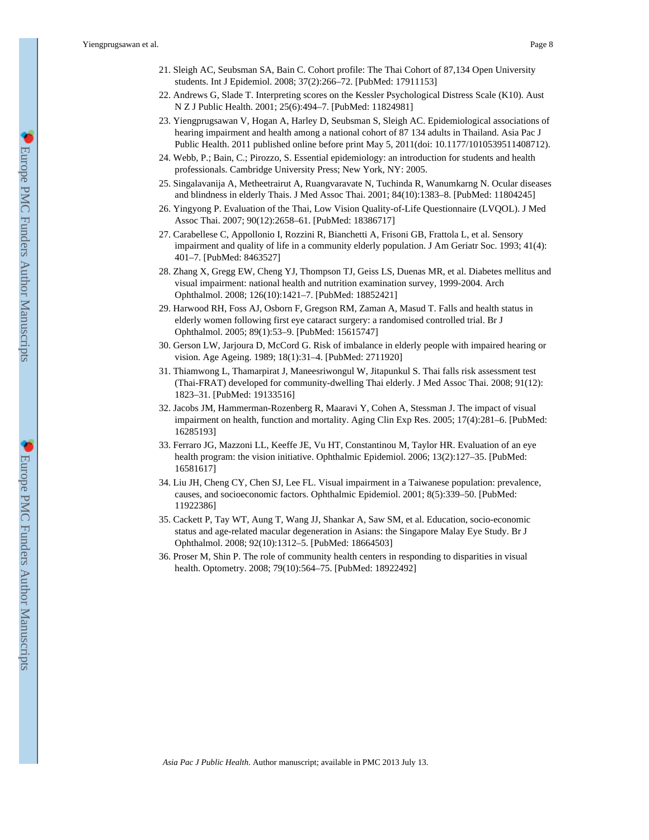Yiengprugsawan et al. Page 8

- 21. Sleigh AC, Seubsman SA, Bain C. Cohort profile: The Thai Cohort of 87,134 Open University students. Int J Epidemiol. 2008; 37(2):266–72. [PubMed: 17911153]
- 22. Andrews G, Slade T. Interpreting scores on the Kessler Psychological Distress Scale (K10). Aust N Z J Public Health. 2001; 25(6):494–7. [PubMed: 11824981]
- 23. Yiengprugsawan V, Hogan A, Harley D, Seubsman S, Sleigh AC. Epidemiological associations of hearing impairment and health among a national cohort of 87 134 adults in Thailand. Asia Pac J Public Health. 2011 published online before print May 5, 2011(doi: 10.1177/1010539511408712).
- 24. Webb, P.; Bain, C.; Pirozzo, S. Essential epidemiology: an introduction for students and health professionals. Cambridge University Press; New York, NY: 2005.
- 25. Singalavanija A, Metheetrairut A, Ruangvaravate N, Tuchinda R, Wanumkarng N. Ocular diseases and blindness in elderly Thais. J Med Assoc Thai. 2001; 84(10):1383–8. [PubMed: 11804245]
- 26. Yingyong P. Evaluation of the Thai, Low Vision Quality-of-Life Questionnaire (LVQOL). J Med Assoc Thai. 2007; 90(12):2658–61. [PubMed: 18386717]
- 27. Carabellese C, Appollonio I, Rozzini R, Bianchetti A, Frisoni GB, Frattola L, et al. Sensory impairment and quality of life in a community elderly population. J Am Geriatr Soc. 1993; 41(4): 401–7. [PubMed: 8463527]
- 28. Zhang X, Gregg EW, Cheng YJ, Thompson TJ, Geiss LS, Duenas MR, et al. Diabetes mellitus and visual impairment: national health and nutrition examination survey, 1999-2004. Arch Ophthalmol. 2008; 126(10):1421–7. [PubMed: 18852421]
- 29. Harwood RH, Foss AJ, Osborn F, Gregson RM, Zaman A, Masud T. Falls and health status in elderly women following first eye cataract surgery: a randomised controlled trial. Br J Ophthalmol. 2005; 89(1):53–9. [PubMed: 15615747]
- 30. Gerson LW, Jarjoura D, McCord G. Risk of imbalance in elderly people with impaired hearing or vision. Age Ageing. 1989; 18(1):31–4. [PubMed: 2711920]
- 31. Thiamwong L, Thamarpirat J, Maneesriwongul W, Jitapunkul S. Thai falls risk assessment test (Thai-FRAT) developed for community-dwelling Thai elderly. J Med Assoc Thai. 2008; 91(12): 1823–31. [PubMed: 19133516]
- 32. Jacobs JM, Hammerman-Rozenberg R, Maaravi Y, Cohen A, Stessman J. The impact of visual impairment on health, function and mortality. Aging Clin Exp Res. 2005; 17(4):281–6. [PubMed: 16285193]
- 33. Ferraro JG, Mazzoni LL, Keeffe JE, Vu HT, Constantinou M, Taylor HR. Evaluation of an eye health program: the vision initiative. Ophthalmic Epidemiol. 2006; 13(2):127–35. [PubMed: 16581617]
- 34. Liu JH, Cheng CY, Chen SJ, Lee FL. Visual impairment in a Taiwanese population: prevalence, causes, and socioeconomic factors. Ophthalmic Epidemiol. 2001; 8(5):339–50. [PubMed: 11922386]
- 35. Cackett P, Tay WT, Aung T, Wang JJ, Shankar A, Saw SM, et al. Education, socio-economic status and age-related macular degeneration in Asians: the Singapore Malay Eye Study. Br J Ophthalmol. 2008; 92(10):1312–5. [PubMed: 18664503]
- 36. Proser M, Shin P. The role of community health centers in responding to disparities in visual health. Optometry. 2008; 79(10):564–75. [PubMed: 18922492]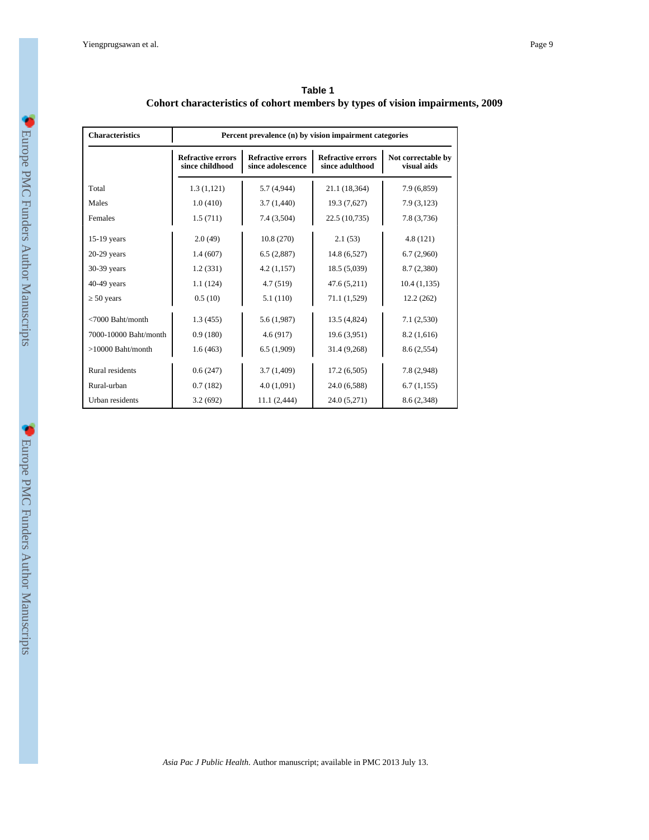| <b>Characteristics</b> | Percent prevalence (n) by vision impairment categories |                                               |                                             |                                   |  |
|------------------------|--------------------------------------------------------|-----------------------------------------------|---------------------------------------------|-----------------------------------|--|
|                        | <b>Refractive errors</b><br>since childhood            | <b>Refractive errors</b><br>since adolescence | <b>Refractive errors</b><br>since adulthood | Not correctable by<br>visual aids |  |
| Total                  | 1.3(1,121)                                             | 5.7(4,944)                                    | 21.1 (18,364)                               | 7.9 (6,859)                       |  |
| Males                  | 1.0(410)                                               | 3.7(1,440)                                    | 19.3 (7,627)                                | 7.9(3,123)                        |  |
| Females                | 1.5(711)                                               | 7.4 (3,504)                                   | 22.5 (10,735)                               | 7.8 (3,736)                       |  |
| $15-19$ years          | 2.0(49)                                                | 10.8(270)                                     | 2.1(53)                                     | 4.8(121)                          |  |
| $20-29$ years          | 1.4(607)                                               | 6.5(2,887)                                    | 14.8 (6,527)                                | 6.7(2,960)                        |  |
| 30-39 years            | 1.2(331)                                               | 4.2(1,157)                                    | 18.5(5,039)                                 | 8.7 (2,380)                       |  |
| $40-49$ years          | 1.1(124)                                               | 4.7(519)                                      | 47.6 (5,211)                                | 10.4(1,135)                       |  |
| 50 years               | 0.5(10)                                                | 5.1(110)                                      | 71.1 (1,529)                                | 12.2(262)                         |  |
| $<7000$ Baht/month     | 1.3(455)                                               | 5.6(1,987)                                    | 13.5 (4,824)                                | 7.1(2,530)                        |  |
| 7000-10000 Baht/month  | 0.9(180)                                               | 4.6(917)                                      | 19.6(3,951)                                 | 8.2(1,616)                        |  |
| $>10000$ Baht/month    | 1.6(463)                                               | 6.5(1,909)                                    | 31.4 (9,268)                                | 8.6 (2,554)                       |  |
| Rural residents        | 0.6(247)                                               | 3.7(1,409)                                    | 17.2(6,505)                                 | 7.8 (2,948)                       |  |
| Rural-urban            | 0.7(182)                                               | 4.0(1,091)                                    | 24.0 (6,588)                                | 6.7(1,155)                        |  |
| Urban residents        | 3.2(692)                                               | 11.1 (2,444)                                  | 24.0 (5,271)                                | 8.6 (2,348)                       |  |

**Table 1 Cohort characteristics of cohort members by types of vision impairments, 2009**

**C** Europe PMC Funders Author Manuscripts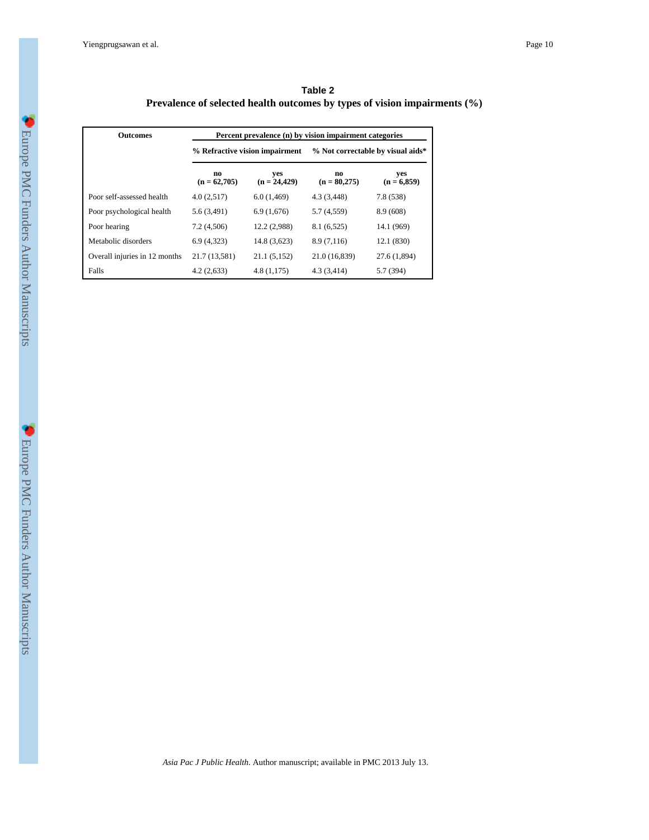Yiengprugsawan et al. Page 10

| Table 2                                                                      |  |  |  |  |  |
|------------------------------------------------------------------------------|--|--|--|--|--|
| Prevalence of selected health outcomes by types of vision impairments $(\%)$ |  |  |  |  |  |

| <b>Outcomes</b>               | Percent prevalence (n) by vision impairment categories |                       |                                   |                      |  |
|-------------------------------|--------------------------------------------------------|-----------------------|-----------------------------------|----------------------|--|
|                               | % Refractive vision impairment                         |                       | % Not correctable by visual aids* |                      |  |
|                               | no<br>$(n = 62,705)$                                   | ves<br>$(n = 24,429)$ | no<br>$(n = 80,275)$              | yes<br>$(n = 6,859)$ |  |
| Poor self-assessed health     | 4.0(2,517)                                             | 6.0(1,469)            | 4.3(3,448)                        | 7.8 (538)            |  |
| Poor psychological health     | 5.6(3,491)                                             | 6.9(1,676)            | 5.7 (4,559)                       | 8.9(608)             |  |
| Poor hearing                  | 7.2(4,506)                                             | 12.2 (2,988)          | 8.1(6,525)                        | 14.1 (969)           |  |
| Metabolic disorders           | 6.9(4,323)                                             | 14.8 (3,623)          | 8.9(7,116)                        | 12.1 (830)           |  |
| Overall injuries in 12 months | 21.7 (13,581)                                          | 21.1 (5,152)          | 21.0 (16,839)                     | 27.6 (1,894)         |  |
| Falls                         | 4.2(2,633)                                             | 4.8(1,175)            | 4.3(3,414)                        | 5.7 (394)            |  |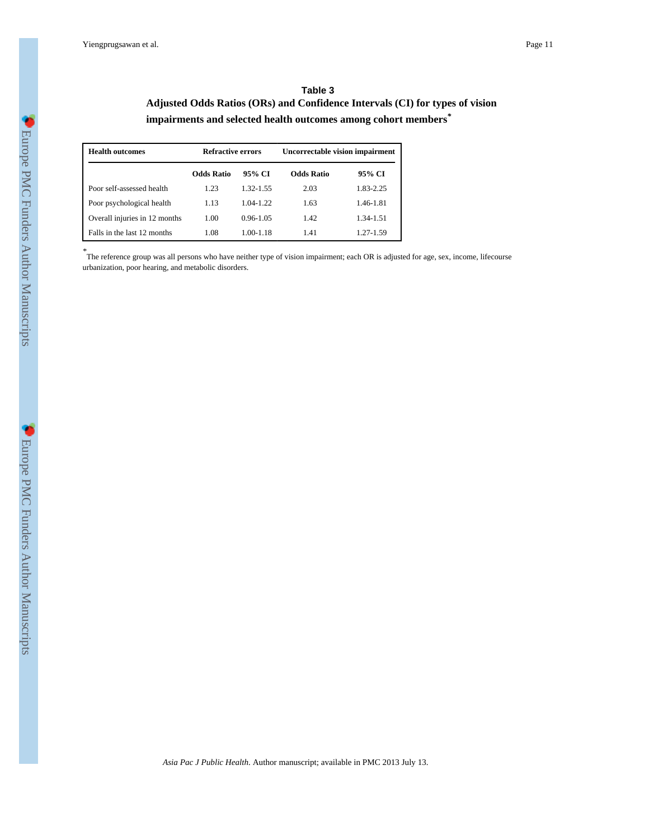### **Table 3 Adjusted Odds Ratios (ORs) and Confidence Intervals (CI) for types of vision impairments and selected health outcomes among cohort members***\**

| <b>Health outcomes</b>        | <b>Refractive errors</b> |               | <b>Uncorrectable vision impairment</b> |           |  |
|-------------------------------|--------------------------|---------------|----------------------------------------|-----------|--|
|                               | <b>Odds Ratio</b>        | 95% CI        | <b>Odds Ratio</b>                      | 95% CI    |  |
| Poor self-assessed health     | 1.23                     | 1.32-1.55     | 2.03                                   | 1.83-2.25 |  |
| Poor psychological health     | 1.13                     | 1.04-1.22     | 1.63                                   | 1.46-1.81 |  |
| Overall injuries in 12 months | 1.00                     | $0.96 - 1.05$ | 1.42                                   | 1.34-1.51 |  |
| Falls in the last 12 months   | 1.08                     | 1.00-1.18     | 1.41                                   | 1.27-1.59 |  |

*\** The reference group was all persons who have neither type of vision impairment; each OR is adjusted for age, sex, income, lifecourse urbanization, poor hearing, and metabolic disorders.